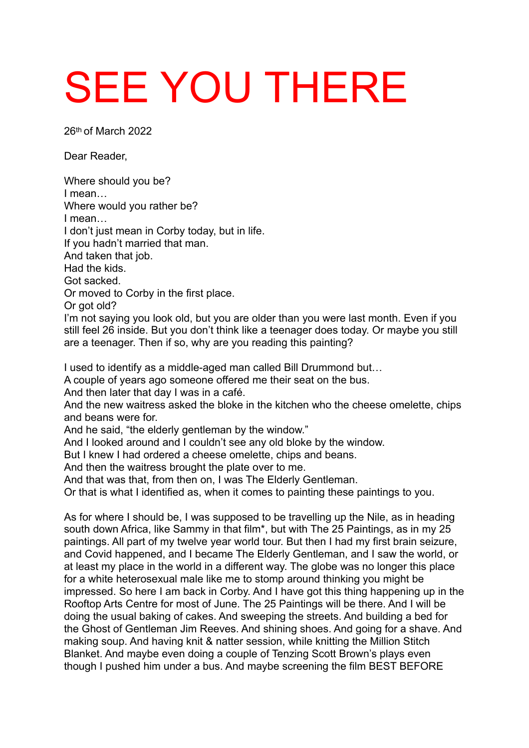## SEE YOU THERE

26th of March 2022

Dear Reader,

Where should you be? I mean… Where would you rather be? I mean… I don't just mean in Corby today, but in life. If you hadn't married that man. And taken that job. Had the kids. Got sacked. Or moved to Corby in the first place. Or got old? I'm not saying you look old, but you are older than you were last month. Even if you still feel 26 inside. But you don't think like a teenager does today. Or maybe you still are a teenager. Then if so, why are you reading this painting?

I used to identify as a middle-aged man called Bill Drummond but…

A couple of years ago someone offered me their seat on the bus.

And then later that day I was in a café.

And the new waitress asked the bloke in the kitchen who the cheese omelette, chips and beans were for.

And he said, "the elderly gentleman by the window."

And I looked around and I couldn't see any old bloke by the window.

But I knew I had ordered a cheese omelette, chips and beans.

And then the waitress brought the plate over to me.

And that was that, from then on, I was The Elderly Gentleman.

Or that is what I identified as, when it comes to painting these paintings to you.

As for where I should be, I was supposed to be travelling up the Nile, as in heading south down Africa, like Sammy in that film\*, but with The 25 Paintings, as in my 25 paintings. All part of my twelve year world tour. But then I had my first brain seizure, and Covid happened, and I became The Elderly Gentleman, and I saw the world, or at least my place in the world in a different way. The globe was no longer this place for a white heterosexual male like me to stomp around thinking you might be impressed. So here I am back in Corby. And I have got this thing happening up in the Rooftop Arts Centre for most of June. The 25 Paintings will be there. And I will be doing the usual baking of cakes. And sweeping the streets. And building a bed for the Ghost of Gentleman Jim Reeves. And shining shoes. And going for a shave. And making soup. And having knit & natter session, while knitting the Million Stitch Blanket. And maybe even doing a couple of Tenzing Scott Brown's plays even though I pushed him under a bus. And maybe screening the film BEST BEFORE